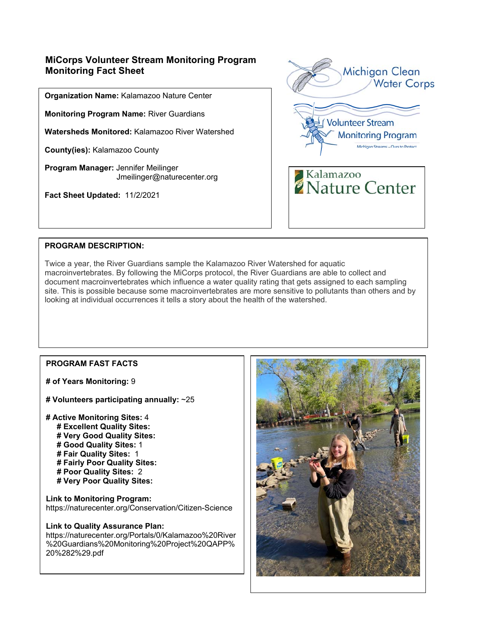# **MiCorps Volunteer Stream Monitoring Program Monitoring Fact Sheet**

**Organization Name:** Kalamazoo Nature Center

**Monitoring Program Name:** River Guardians

**Watersheds Monitored:** Kalamazoo River Watershed

**County(ies):** Kalamazoo County

**Program Manager:** Jennifer Meilinger Jmeilinger@naturecenter.org

**Fact Sheet Updated:** 11/2/2021



### **PROGRAM DESCRIPTION:**

Twice a year, the River Guardians sample the Kalamazoo River Watershed for aquatic macroinvertebrates. By following the MiCorps protocol, the River Guardians are able to collect and document macroinvertebrates which influence a water quality rating that gets assigned to each sampling site. This is possible because some macroinvertebrates are more sensitive to pollutants than others and by looking at individual occurrences it tells a story about the health of the watershed.

## **PROGRAM FAST FACTS**

**# of Years Monitoring:** 9

**# Volunteers participating annually:** ~25

**# Active Monitoring Sites:** 4  **# Excellent Quality Sites: # Very Good Quality Sites: # Good Quality Sites:** 1  **# Fair Quality Sites:** 1  **# Fairly Poor Quality Sites: # Poor Quality Sites:** 2

 **# Very Poor Quality Sites:** 

**Link to Monitoring Program:**  https://naturecenter.org/Conservation/Citizen-Science

#### **Link to Quality Assurance Plan:**

https://naturecenter.org/Portals/0/Kalamazoo%20River %20Guardians%20Monitoring%20Project%20QAPP% 20%282%29.pdf